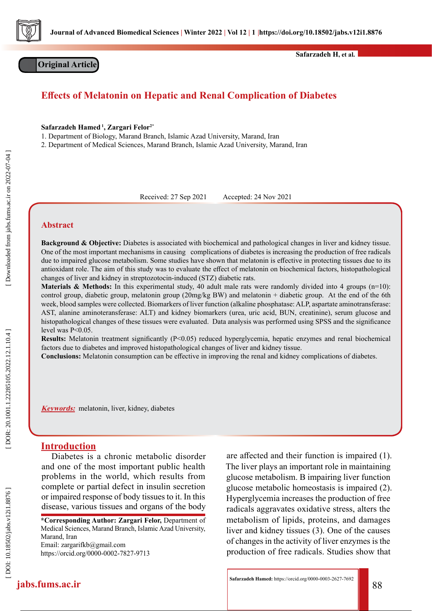

**Original Article**

**Safarzadeh H, et al.**

# **Effects of Melatonin on Hepatic and Renal Complication of Diabetes**

**Safarzadeh Hamed 1, Zargari Felor2\***

1. Department of Biology, Marand Branch, Islamic Azad University, Marand, Iran

2. Department of Medical Sciences, Marand Branch, Islamic Azad University, Marand, Iran

Received: 27 Sep 2021 Accepted: 24 Nov 2021

# **Abstract**

**Background & Objective:** Diabetes is associated with biochemical and pathological changes in liver and kidney tissue. One of the most important mechanisms in causing complications of diabetes is increasing the production of free radicals due to impaired glucose metabolism. Some studies have shown that melatonin is effective in protecting tissues due to its antioxidant role. The aim of this study was to evaluate the effect of melatonin on biochemical factors, histopathological changes of liver and kidney in streptozotocin-induced (STZ) diabetic rats.

**Materials & Methods:** In this experimental study, 40 adult male rats were randomly divided into 4 groups  $(n=10)$ : control group, diabetic group, melatonin group (20mg/kg BW) and melatonin + diabetic group. At the end of the 6th week, blood samples were collected. Biomarkers of liver function (alkaline phosphatase: ALP, aspartate aminotransferase: AST, alanine aminoteransferase: ALT) and kidney biomarkers (urea, uric acid, BUN, creatinine), serum glucose and histopathological changes of these tissues were evaluated. Data analysis was performed using SPSS and the significance level was P<0.05.

**Results:** Melatonin treatment significantly (P<0.05) reduced hyperglycemia, hepatic enzymes and renal biochemical factors due to diabetes and improved histopathological changes of liver and kidney tissue.

**Conclusions:** Melatonin consumption can be effective in improving the renal and kidney complications of diabetes.

**Keywords:** melatonin, liver, kidney, diabetes

# **Introduction**

Diabetes is a chronic metabolic disorder and one of the most important public health problems in the world, which results from complete or partial defect in insulin secretion or impaired response of body tissues to it. In this disease, various tissues and organs of the body

**\*Corresponding Author: Zargari Felor,** Department of Medical Sciences, Marand Branch, Islamic Azad University, Marand, Iran Email: zargarifkb@gmail.com https://orcid.org/0000-0002-7827-9713

are affected and their function is impaired (1). The liver plays an important role in maintaining glucose metabolism. B impairing liver function glucose metabolic homeostasis is impaired (2). Hyperglycemia increases the production of free radicals aggravates oxidative stress, alters the metabolism of lipids, proteins, and damages liver and kidney tissues (3). One of the causes of changes in the activity of liver enzymes is the production of free radicals. Studies show that

 [\[ DOI: 10.18502/jabs.v12i1.8876 \]](http://dx.doi.org/10.18502/jabs.v12i1.8876)  DOI: 10.18502/jabs.v12i1.8876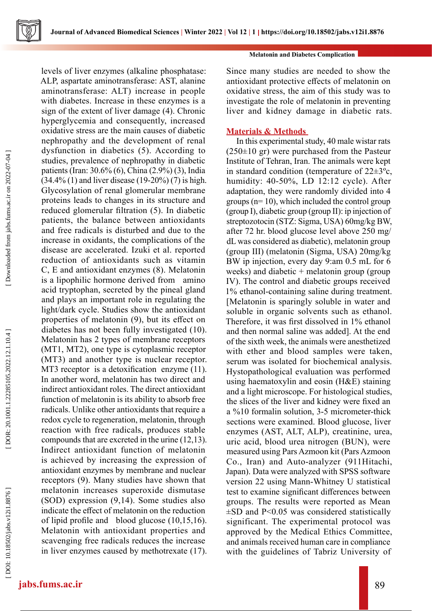

levels of liver enzymes (alkaline phosphatase: ALP, aspartate aminotransferase: AST, alanine aminotransferase: ALT) increase in people with diabetes. Increase in these enzymes is a sign of the extent of liver damage (4). Chronic hyperglycemia and consequently, increased oxidative stress are the main causes of diabetic nephropathy and the development of renal dysfunction in diabetics (5). According to studies, prevalence of nephropathy in diabetic patients (Iran: 30.6% (6), China (2.9%) (3), India  $(34.4\% (1)$  and liver disease  $(19-20\%) (7)$  is high. Glycosylation of renal glomerular membrane proteins leads to changes in its structure and reduced glomerular filtration (5). In diabetic patients, the balance between antioxidants and free radicals is disturbed and due to the increase in oxidants, the complications of the disease are accelerated. Izuki et al. reported reduction of antioxidants such as vitamin C, E and antioxidant enzymes (8). Melatonin is a lipophilic hormone derived from amino acid tryptophan, secreted by the pineal gland and plays an important role in regulating the light/dark cycle. Studies show the antioxidant properties of melatonin (9), but its effect on diabetes has not been fully investigated (10). Melatonin has 2 types of membrane receptors (MT1, MT2), one type is cytoplasmic receptor (MT3) and another type is nuclear receptor. MT3 receptor is a detoxification enzyme (11). In another word, melatonin has two direct and indirect antioxidant roles. The direct antioxidant function of melatonin is its ability to absorb free radicals. Unlike other antioxidants that require a redox cycle to regeneration, melatonin, through reaction with free radicals, produces stable compounds that are excreted in the urine (12,13). Indirect antioxidant function of melatonin is achieved by increasing the expression of antioxidant enzymes by membrane and nuclear receptors (9). Many studies have shown that melatonin increases superoxide dismutase (SOD) expression (9,14). Some studies also indicate the effect of melatonin on the reduction of lipid profile and blood glucose (10,15,16). Melatonin with antioxidant properties and scavenging free radicals reduces the increase in liver enzymes caused by methotrexate (17).

### **Melatonin and Diabetes Complication**

Since many studies are needed to show the antioxidant protective effects of melatonin on oxidative stress, the aim of this study was to investigate the role of melatonin in preventing liver and kidney damage in diabetic rats.

# **Materials & Methods**

In this experimental study, 40 male wistar rats (250±10 gr) were purchased from the Pasteur Institute of Tehran, Iran. The animals were kept in standard condition (temperature of  $22\pm3^{\circ}$ c, humidity: 40-50%, LD 12:12 cycle). After adaptation, they were randomly divided into 4 groups (n= 10), which included the control group (group I), diabetic group (group II): ip injection of streptozotocin (STZ: Sigma, USA) 60mg/kg BW, after 72 hr. blood glucose level above 250 mg/ dL was considered as diabetic), melatonin group (group III) (melatonin (Sigma, USA) 20mg/kg BW ip injection, every day 9:am 0.5 mL for 6 weeks) and diabetic + melatonin group (group IV). The control and diabetic groups received 1% ethanol-containing saline during treatment. [Melatonin is sparingly soluble in water and soluble in organic solvents such as ethanol. Therefore, it was first dissolved in 1% ethanol and then normal saline was added]. At the end of the sixth week, the animals were anesthetized with ether and blood samples were taken, serum was isolated for biochemical analysis. Hystopathological evaluation was performed using haematoxylin and eosin (H&E) staining and a light microscope. For histological studies, the slices of the liver and kidney were fixed an a %10 formalin solution, 3-5 micrometer-thick sections were examined. Blood glucose, liver enzymes (AST, ALT, ALP), creatinine, urea, uric acid, blood urea nitrogen (BUN), were measured using Pars Azmoon kit (Pars Azmoon Co., Iran) and Auto-analyzer (911Hitachi, Japan). Data were analyzed with SPSS software version 22 using Mann-Whitney U statistical test to examine significant differences between groups. The results were reported as Mean  $\pm$ SD and P<0.05 was considered statistically significant. The experimental protocol was approved by the Medical Ethics Committee, and animals received human care in compliance with the guidelines of Tabriz University of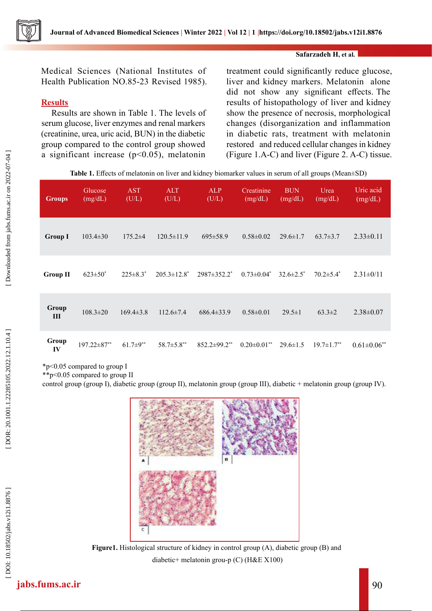

## **Safarzadeh H, et al.**

Medical Sciences (National Institutes of Health Publication NO.85-23 Revised 1985).

# **Results**

Results are shown in Table 1. The levels of serum glucose, liver enzymes and renal markers (creatinine, urea, uric acid, BUN) in the diabetic group compared to the control group showed a significant increase  $(p<0.05)$ , melatonin

treatment could significantly reduce glucose, liver and kidney markers. Melatonin alone did not show any significant effects. The results of histopathology of liver and kidney show the presence of necrosis, morphological changes (disorganization and inflammation in diabetic rats, treatment with melatonin restored and reduced cellular changes in kidney (Figure 1.A-C) and liver (Figure 2. A-C) tissue.

**Table 1.** Effects of melatonin on liver and kidney biomarker values in serum of all groups (Mean±SD)

| <b>Groups</b>   | Glucose<br>(mg/dL) | <b>AST</b><br>(U/L) | <b>ALT</b><br>(U/L) | <b>ALP</b><br>(U/L)            | Creatinine<br>(mg/dL) | <b>BUN</b><br>(mg/dL) | Urea<br>(mg/dL)              | Uric acid<br>(mg/dL)          |
|-----------------|--------------------|---------------------|---------------------|--------------------------------|-----------------------|-----------------------|------------------------------|-------------------------------|
| <b>Group I</b>  | $103.4 \pm 30$     | $175.2\pm4$         | $120.5 \pm 11.9$    | $695 \pm 58.9$                 | $0.58 \pm 0.02$       | $29.6 \pm 1.7$        | $63.7 \pm 3.7$               | $2.33\pm0.11$                 |
| <b>Group II</b> | $623 \pm 50^*$     | $225 \pm 8.3^*$     | $205.3 \pm 12.8^*$  | $2987 \pm 352.2^*$             | $0.73 \pm 0.04^*$     | $32.6 \pm 2.5^*$      | $70.2 \pm 5.4^*$             | $2.31 \pm 0/11$               |
| Group<br>III    | $108.3 \pm 20$     | $169.4 \pm 3.8$     | $112.6 \pm 7.4$     | $686.4 \pm 33.9$               | $0.58 \pm 0.01$       | $29.5 \pm 1$          | $63.3 \pm 2$                 | $2.38 \pm 0.07$               |
| Group<br>IV     | $197.22 \pm 87$ ** | $61.7 \pm 9^{**}$   | 58.7±5.8**          | $852.2 \pm 99.2$ <sup>**</sup> | $0.20 \pm 0.01$ **    | $29.6 \pm 1.5$        | $19.7 \pm 1.7$ <sup>**</sup> | $0.61 \pm 0.06$ <sup>**</sup> |

\*p<0.05 compared to group I

\*\*p<0.05 compared to group II

control group (group I), diabetic group (group II), melatonin group (group III), diabetic + melatonin group (group IV).



**Figure1.** Histological structure of kidney in control group (A), diabetic group (B) and diabetic+ melatonin grou-p (C) (H&E X100)

DOI: 10.18502/jabs.v12i1.8876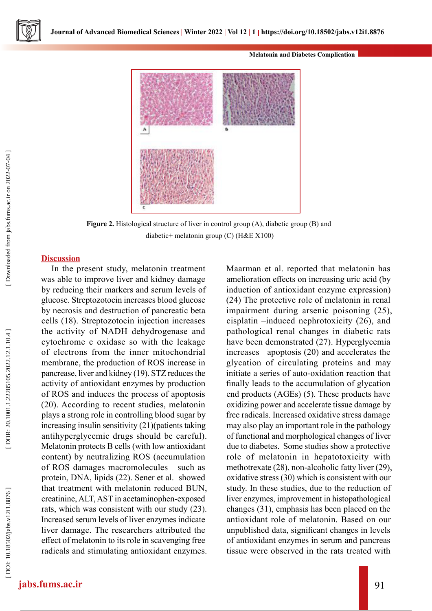### **Melatonin and Diabetes Complication**



Figure 2. Histological structure of liver in control group (A), diabetic group (B) and diabetic+ melatonin group (C) (H&E X100)

### **Discussion**

In the present study, melatonin treatment was able to improve liver and kidney damage by reducing their markers and serum levels of glucose. Streptozotocin increases blood glucose by necrosis and destruction of pancreatic beta cells (18). Streptozotocin injection increases the activity of NADH dehydrogenase and cytochrome c oxidase so with the leakage of electrons from the inner mitochondrial membrane, the production of ROS increase in pancrease, liver and kidney (19). STZ reduces the activity of antioxidant enzymes by production of ROS and induces the process of apoptosis (20). According to recent studies, melatonin plays a strong role in controlling blood sugar by increasing insulin sensitivity (21)(patients taking antihyperglycemic drugs should be careful). Melatonin protects B cells (with low antioxidant content) by neutralizing ROS (accumulation of ROS damages macromolecules such as protein, DNA, lipids (22). Sener et al. showed that treatment with melatonin reduced BUN, creatinine, ALT, AST in acetaminophen-exposed rats, which was consistent with our study (23). Increased serum levels of liver enzymes indicate liver damage. The researchers attributed the effect of melatonin to its role in scavenging free radicals and stimulating antioxidant enzymes. Maarman et al. reported that melatonin has amelioration effects on increasing uric acid (by induction of antioxidant enzyme expression) (24) The protective role of melatonin in renal impairment during arsenic poisoning (25), cisplatin –induced nephrotoxicity (26), and pathological renal changes in diabetic rats have been demonstrated (27). Hyperglycemia increases apoptosis (20) and accelerates the glycation of circulating proteins and may initiate a series of auto-oxidation reaction that finally leads to the accumulation of glycation end products (AGEs) (5). These products have oxidizing power and accelerate tissue damage by free radicals. Increased oxidative stress damage may also play an important role in the pathology of functional and morphological changes of liver due to diabetes. Some studies show a protective role of melatonin in hepatotoxicity with methotrexate (28), non-alcoholic fatty liver (29), oxidative stress (30) which is consistent with our study. In these studies, due to the reduction of liver enzymes, improvement in histopathological changes (31), emphasis has been placed on the antioxidant role of melatonin. Based on our unpublished data, significant changes in levels of antioxidant enzymes in serum and pancreas tissue were observed in the rats treated with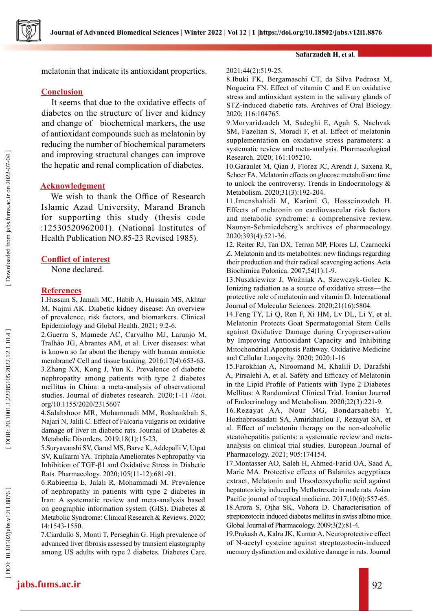melatonin that indicate its antioxidant properties.

# **Conclusion**

It seems that due to the oxidative effects of diabetes on the structure of liver and kidney and change of biochemical markers, the use of antioxidant compounds such as melatonin by reducing the number of biochemical parameters and improving structural changes can improve the hepatic and renal complication of diabetes.

# **Acknowledgment**

We wish to thank the Office of Research Islamic Azad University, Marand Branch for supporting this study (thesis code :12530520962001). (National Institutes of Health Publication NO.85-23 Revised 1985).

# **Conflict of interest**

None declared.

### **References**

1.Hussain S, Jamali MC, Habib A, Hussain MS, Akhtar M, Najmi AK. Diabetic kidney disease: An overview of prevalence, risk factors, and biomarkers. Clinical Epidemiology and Global Health. 2021; 9:2-6.

2.Guerra S, Mamede AC, Carvalho MJ, Laranjo M, Tralhão JG, Abrantes AM, et al. Liver diseases: what is known so far about the therapy with human amniotic membrane? Cell and tissue banking. 2016;17(4):653-63. 3.Zhang XX, Kong J, Yun K. Prevalence of diabetic nephropathy among patients with type 2 diabetes mellitus in China: a meta-analysis of observational studies. Journal of diabetes research. 2020;1-11 //doi. org/10.1155/2020/2315607

4.Salahshoor MR, Mohammadi MM, Roshankhah S, Najari N, Jalili C. Effect of Falcaria vulgaris on oxidative damage of liver in diabetic rats. Journal of Diabetes & Metabolic Disorders. 2019;18(1):15-23.

5.Suryavanshi SV, Garud MS, Barve K, Addepalli V, Utpat SV, Kulkarni YA. Triphala Ameliorates Nephropathy via Inhibition of TGF-β1 and Oxidative Stress in Diabetic Rats. Pharmacology. 2020;105(11-12):681-91.

6.Rabieenia E, Jalali R, Mohammadi M. Prevalence of nephropathy in patients with type 2 diabetes in Iran: A systematic review and meta-analysis based on geographic information system (GIS). Diabetes & Metabolic Syndrome: Clinical Research & Reviews. 2020; 14:1543-1550.

7.Ciardullo S, Monti T, Perseghin G. High prevalence of advanced liver fibrosis assessed by transient elastography among US adults with type 2 diabetes. Diabetes Care.

### **Safarzadeh H, et al.**

### 2021;44(2):519-25.

8.Ibuki FK, Bergamaschi CT, da Silva Pedrosa M, Nogueira FN. Effect of vitamin C and E on oxidative stress and antioxidant system in the salivary glands of STZ-induced diabetic rats. Archives of Oral Biology. 2020; 116:104765.

9.Morvaridzadeh M, Sadeghi E, Agah S, Nachvak SM, Fazelian S, Moradi F, et al. Effect of melatonin supplementation on oxidative stress parameters: a systematic review and meta-analysis. Pharmacological Research. 2020; 161:105210.

10.Garaulet M, Qian J, Florez JC, Arendt J, Saxena R, Scheer FA. Melatonin effects on glucose metabolism: time to unlock the controversy. Trends in Endocrinology & Metabolism. 2020;31(3):192-204.

11.Imenshahidi M, Karimi G, Hosseinzadeh H. Effects of melatonin on cardiovascular risk factors and metabolic syndrome: a comprehensive review. Naunyn-Schmiedeberg's archives of pharmacology. 2020;393(4):521-36.

12. Reiter RJ, Tan DX, Terron MP, Flores LJ, Czarnocki Z. Melatonin and its metabolites: new findings regarding their production and their radical scavenging actions. Acta Biochimica Polonica. 2007;54(1):1-9.

13.Nuszkiewicz J, Woźniak A, Szewczyk-Golec K. Ionizing radiation as a source of oxidative stress—the protective role of melatonin and vitamin D. International Journal of Molecular Sciences. 2020;21(16):5804.

14.Feng TY, Li Q, Ren F, Xi HM, Lv DL, Li Y, et al. Melatonin Protects Goat Spermatogonial Stem Cells against Oxidative Damage during Cryopreservation by Improving Antioxidant Capacity and Inhibiting Mitochondrial Apoptosis Pathway. Oxidative Medicine and Cellular Longevity. 2020; 2020:1-16

15.Farokhian A, Niroomand M, Khalili D, Darafshi A, Pirsalehi A, et al. Safety and Efficacy of Melatonin in the Lipid Profile of Patients with Type 2 Diabetes Mellitus: A Randomized Clinical Trial. Iranian Journal of Endocrinology and Metabolism. 2020;22(3):221-9.

16.Rezayat AA, Nour MG, Bondarsahebi Y, Hozhabrossadati SA, Amirkhanlou F, Rezayat SA, et al. Effect of melatonin therapy on the non-alcoholic steatohepatitis patients: a systematic review and metaanalysis on clinical trial studies. European Journal of Pharmacology. 2021; 905:174154.

17.Montasser AO, Saleh H, Ahmed-Farid OA, Saad A, Marie MA. Protective effects of Balanites aegyptiaca extract, Melatonin and Ursodeoxycholic acid against hepatotoxicity induced by Methotrexate in male rats. Asian Pacific journal of tropical medicine. 2017;10(6):557-65.

18.Arora S, Ojha SK, Vohora D. Characterisation of streptozotocin induced diabetes mellitus in swiss albino mice. Global Journal of Pharmacology. 2009;3(2):81-4.

19.Prakash A, Kalra JK, Kumar A. Neuroprotective effect of N-acetyl cysteine against streptozotocin-induced memory dysfunction and oxidative damage in rats. Journal